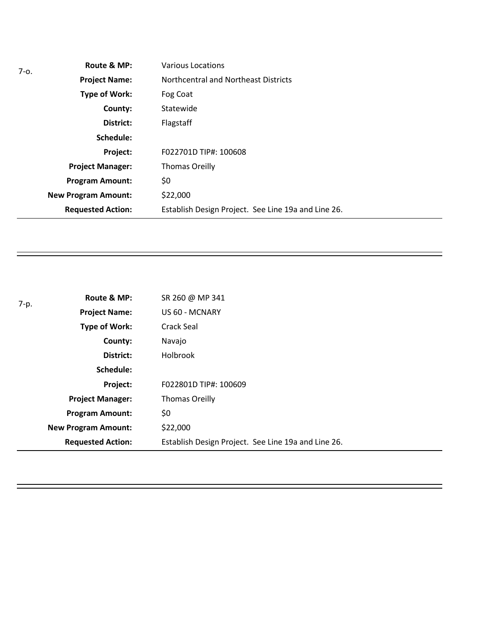| $7 - 0.$ | Route & MP:                | Various Locations                                   |
|----------|----------------------------|-----------------------------------------------------|
|          | <b>Project Name:</b>       | Northcentral and Northeast Districts                |
|          | Type of Work:              | Fog Coat                                            |
|          | County:                    | Statewide                                           |
|          | District:                  | Flagstaff                                           |
|          | Schedule:                  |                                                     |
|          | Project:                   | F022701D TIP#: 100608                               |
|          | <b>Project Manager:</b>    | <b>Thomas Oreilly</b>                               |
|          | <b>Program Amount:</b>     | \$0                                                 |
|          | <b>New Program Amount:</b> | \$22,000                                            |
|          | <b>Requested Action:</b>   | Establish Design Project. See Line 19a and Line 26. |

| 7-p. | Route & MP:                | SR 260 @ MP 341                                     |
|------|----------------------------|-----------------------------------------------------|
|      | <b>Project Name:</b>       | US 60 - MCNARY                                      |
|      | Type of Work:              | Crack Seal                                          |
|      | County:                    | Navajo                                              |
|      | District:                  | <b>Holbrook</b>                                     |
|      | Schedule:                  |                                                     |
|      | Project:                   | F022801D TIP#: 100609                               |
|      | <b>Project Manager:</b>    | <b>Thomas Oreilly</b>                               |
|      | <b>Program Amount:</b>     | \$0                                                 |
|      | <b>New Program Amount:</b> | \$22,000                                            |
|      | <b>Requested Action:</b>   | Establish Design Project. See Line 19a and Line 26. |